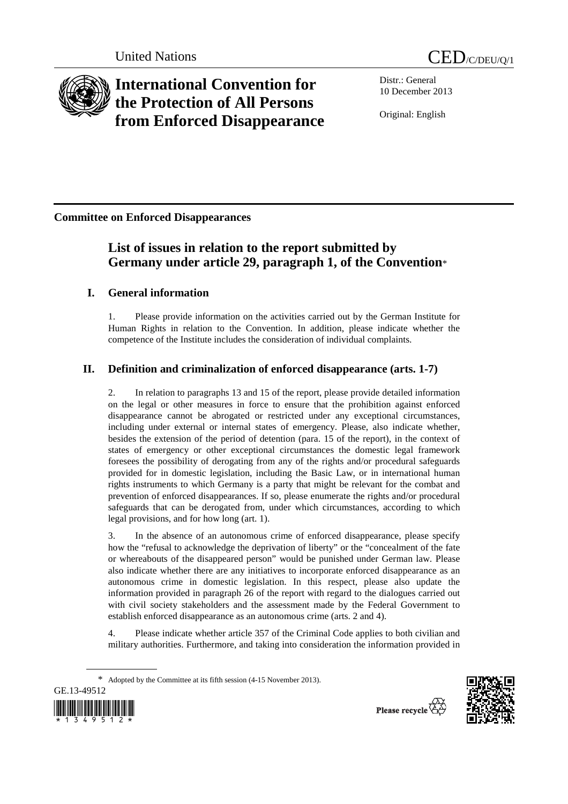



# **International Convention for the Protection of All Persons from Enforced Disappearance**

Distr.: General 10 December 2013

Original: English

**Committee on Enforced Disappearances** 

## **List of issues in relation to the report submitted by Germany under article 29, paragraph 1, of the Convention**\*

## **I. General information**

1. Please provide information on the activities carried out by the German Institute for Human Rights in relation to the Convention. In addition, please indicate whether the competence of the Institute includes the consideration of individual complaints.

## **II. Definition and criminalization of enforced disappearance (arts. 1-7)**

2. In relation to paragraphs 13 and 15 of the report, please provide detailed information on the legal or other measures in force to ensure that the prohibition against enforced disappearance cannot be abrogated or restricted under any exceptional circumstances, including under external or internal states of emergency. Please, also indicate whether, besides the extension of the period of detention (para. 15 of the report), in the context of states of emergency or other exceptional circumstances the domestic legal framework foresees the possibility of derogating from any of the rights and/or procedural safeguards provided for in domestic legislation, including the Basic Law, or in international human rights instruments to which Germany is a party that might be relevant for the combat and prevention of enforced disappearances. If so, please enumerate the rights and/or procedural safeguards that can be derogated from, under which circumstances, according to which legal provisions, and for how long (art. 1).

3. In the absence of an autonomous crime of enforced disappearance, please specify how the "refusal to acknowledge the deprivation of liberty" or the "concealment of the fate or whereabouts of the disappeared person" would be punished under German law. Please also indicate whether there are any initiatives to incorporate enforced disappearance as an autonomous crime in domestic legislation. In this respect, please also update the information provided in paragraph 26 of the report with regard to the dialogues carried out with civil society stakeholders and the assessment made by the Federal Government to establish enforced disappearance as an autonomous crime (arts. 2 and 4).

4. Please indicate whether article 357 of the Criminal Code applies to both civilian and military authorities. Furthermore, and taking into consideration the information provided in

<sup>\*</sup> Adopted by the Committee at its fifth session (4-15 November 2013).



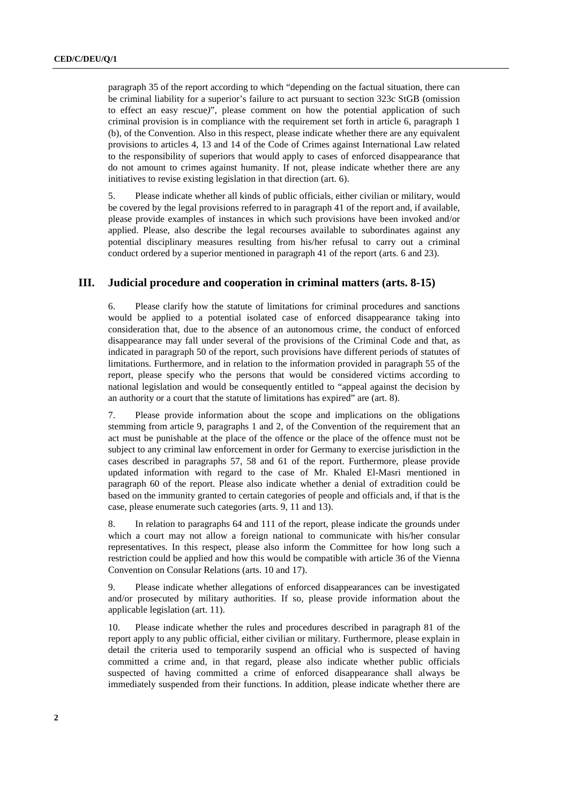paragraph 35 of the report according to which "depending on the factual situation, there can be criminal liability for a superior's failure to act pursuant to section 323c StGB (omission to effect an easy rescue*)*", please comment on how the potential application of such criminal provision is in compliance with the requirement set forth in article 6, paragraph 1 (b), of the Convention. Also in this respect, please indicate whether there are any equivalent provisions to articles 4, 13 and 14 of the Code of Crimes against International Law related to the responsibility of superiors that would apply to cases of enforced disappearance that do not amount to crimes against humanity. If not, please indicate whether there are any initiatives to revise existing legislation in that direction (art. 6).

5. Please indicate whether all kinds of public officials, either civilian or military, would be covered by the legal provisions referred to in paragraph 41 of the report and, if available, please provide examples of instances in which such provisions have been invoked and/or applied. Please, also describe the legal recourses available to subordinates against any potential disciplinary measures resulting from his/her refusal to carry out a criminal conduct ordered by a superior mentioned in paragraph 41 of the report (arts. 6 and 23).

#### **III. Judicial procedure and cooperation in criminal matters (arts. 8-15)**

6. Please clarify how the statute of limitations for criminal procedures and sanctions would be applied to a potential isolated case of enforced disappearance taking into consideration that, due to the absence of an autonomous crime, the conduct of enforced disappearance may fall under several of the provisions of the Criminal Code and that, as indicated in paragraph 50 of the report, such provisions have different periods of statutes of limitations. Furthermore, and in relation to the information provided in paragraph 55 of the report, please specify who the persons that would be considered victims according to national legislation and would be consequently entitled to "appeal against the decision by an authority or a court that the statute of limitations has expired" are (art. 8).

7. Please provide information about the scope and implications on the obligations stemming from article 9, paragraphs 1 and 2, of the Convention of the requirement that an act must be punishable at the place of the offence or the place of the offence must not be subject to any criminal law enforcement in order for Germany to exercise jurisdiction in the cases described in paragraphs 57, 58 and 61 of the report. Furthermore, please provide updated information with regard to the case of Mr. Khaled El-Masri mentioned in paragraph 60 of the report. Please also indicate whether a denial of extradition could be based on the immunity granted to certain categories of people and officials and, if that is the case, please enumerate such categories (arts. 9, 11 and 13).

8. In relation to paragraphs 64 and 111 of the report, please indicate the grounds under which a court may not allow a foreign national to communicate with his/her consular representatives. In this respect, please also inform the Committee for how long such a restriction could be applied and how this would be compatible with article 36 of the Vienna Convention on Consular Relations (arts. 10 and 17).

9. Please indicate whether allegations of enforced disappearances can be investigated and/or prosecuted by military authorities. If so, please provide information about the applicable legislation (art. 11).

10. Please indicate whether the rules and procedures described in paragraph 81 of the report apply to any public official, either civilian or military. Furthermore, please explain in detail the criteria used to temporarily suspend an official who is suspected of having committed a crime and, in that regard, please also indicate whether public officials suspected of having committed a crime of enforced disappearance shall always be immediately suspended from their functions. In addition, please indicate whether there are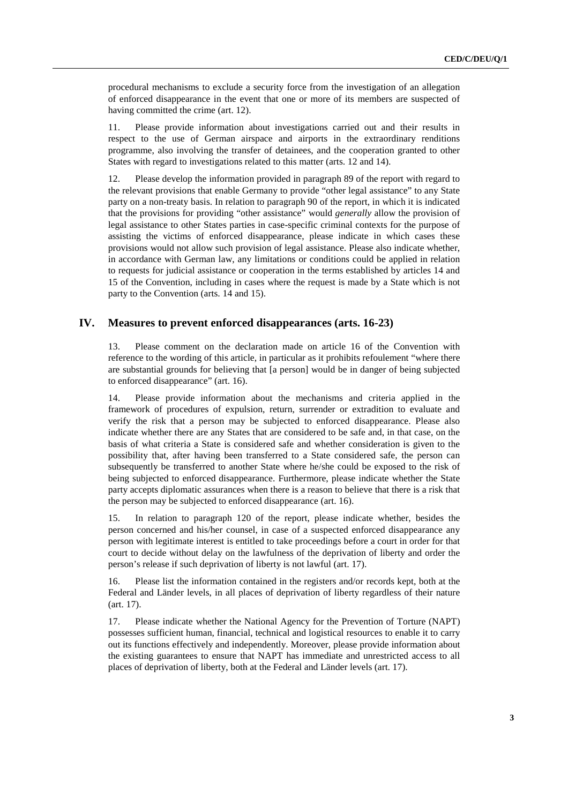procedural mechanisms to exclude a security force from the investigation of an allegation of enforced disappearance in the event that one or more of its members are suspected of having committed the crime (art. 12).

11. Please provide information about investigations carried out and their results in respect to the use of German airspace and airports in the extraordinary renditions programme, also involving the transfer of detainees, and the cooperation granted to other States with regard to investigations related to this matter (arts. 12 and 14).

12. Please develop the information provided in paragraph 89 of the report with regard to the relevant provisions that enable Germany to provide "other legal assistance" to any State party on a non-treaty basis. In relation to paragraph 90 of the report, in which it is indicated that the provisions for providing "other assistance" would *generally* allow the provision of legal assistance to other States parties in case-specific criminal contexts for the purpose of assisting the victims of enforced disappearance, please indicate in which cases these provisions would not allow such provision of legal assistance. Please also indicate whether, in accordance with German law, any limitations or conditions could be applied in relation to requests for judicial assistance or cooperation in the terms established by articles 14 and 15 of the Convention, including in cases where the request is made by a State which is not party to the Convention (arts. 14 and 15).

#### **IV. Measures to prevent enforced disappearances (arts. 16-23)**

13. Please comment on the declaration made on article 16 of the Convention with reference to the wording of this article, in particular as it prohibits refoulement "where there are substantial grounds for believing that [a person] would be in danger of being subjected to enforced disappearance" (art. 16).

14. Please provide information about the mechanisms and criteria applied in the framework of procedures of expulsion, return, surrender or extradition to evaluate and verify the risk that a person may be subjected to enforced disappearance. Please also indicate whether there are any States that are considered to be safe and, in that case, on the basis of what criteria a State is considered safe and whether consideration is given to the possibility that, after having been transferred to a State considered safe, the person can subsequently be transferred to another State where he/she could be exposed to the risk of being subjected to enforced disappearance. Furthermore, please indicate whether the State party accepts diplomatic assurances when there is a reason to believe that there is a risk that the person may be subjected to enforced disappearance (art. 16).

15. In relation to paragraph 120 of the report, please indicate whether, besides the person concerned and his/her counsel, in case of a suspected enforced disappearance any person with legitimate interest is entitled to take proceedings before a court in order for that court to decide without delay on the lawfulness of the deprivation of liberty and order the person's release if such deprivation of liberty is not lawful (art. 17).

16. Please list the information contained in the registers and/or records kept, both at the Federal and Länder levels, in all places of deprivation of liberty regardless of their nature (art. 17).

17. Please indicate whether the National Agency for the Prevention of Torture (NAPT) possesses sufficient human, financial, technical and logistical resources to enable it to carry out its functions effectively and independently. Moreover, please provide information about the existing guarantees to ensure that NAPT has immediate and unrestricted access to all places of deprivation of liberty, both at the Federal and Länder levels (art. 17).